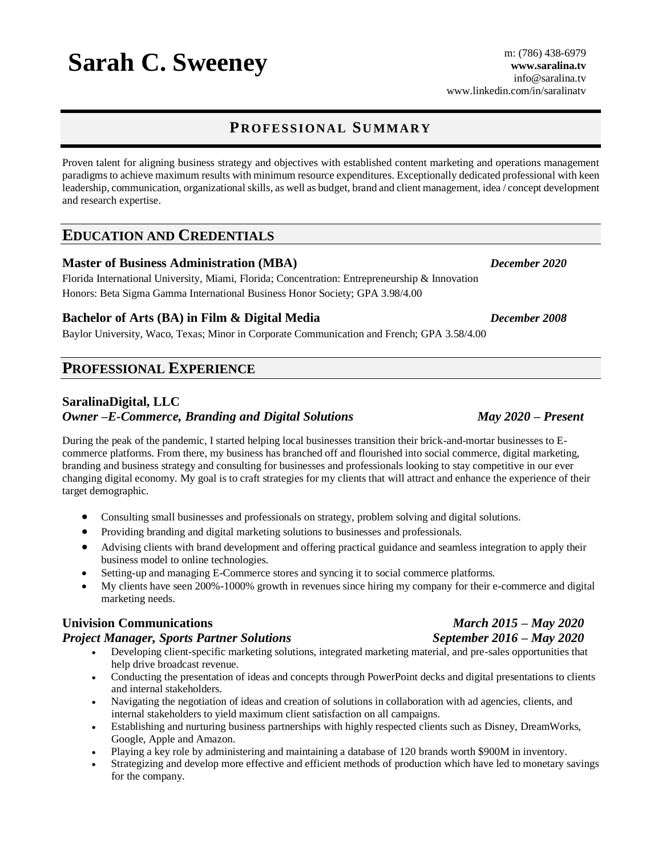### **PR OFES S I ON A L SU MMA R Y**

Proven talent for aligning business strategy and objectives with established content marketing and operations management paradigms to achieve maximum results with minimum resource expenditures. Exceptionally dedicated professional with keen leadership, communication, organizational skills, as well as budget, brand and client management, idea / concept development and research expertise.

#### **EDUCATION AND CREDENTIALS**

#### **Master of Business Administration (MBA)** *December 2020*

Florida International University*,* Miami, Florida; Concentration: Entrepreneurship & Innovation Honors: Beta Sigma Gamma International Business Honor Society; GPA 3.98/4.00

#### **Bachelor of Arts (BA) in Film & Digital Media** *December 2008*

Baylor University*,* Waco, Texas; Minor in Corporate Communication and French; GPA 3.58/4.00

### **PROFESSIONAL EXPERIENCE**

#### **SaralinaDigital, LLC**

#### *Owner –E-Commerce, Branding and Digital Solutions May 2020 – Present*

During the peak of the pandemic, I started helping local businesses transition their brick-and-mortar businesses to Ecommerce platforms. From there, my business has branched off and flourished into social commerce, digital marketing, branding and business strategy and consulting for businesses and professionals looking to stay competitive in our ever changing digital economy. My goal is to craft strategies for my clients that will attract and enhance the experience of their target demographic.

- Consulting small businesses and professionals on strategy, problem solving and digital solutions.
- Providing branding and digital marketing solutions to businesses and professionals.
- Advising clients with brand development and offering practical guidance and seamless integration to apply their business model to online technologies.
- Setting-up and managing E-Commerce stores and syncing it to social commerce platforms.
- My clients have seen 200%-1000% growth in revenues since hiring my company for their e-commerce and digital marketing needs.

#### **Univision Communications** *March 2015 – May 2020*

#### *Project Manager, Sports Partner Solutions**September 2016 – May 2020*

- Developing client-specific marketing solutions, integrated marketing material, and pre-sales opportunities that help drive broadcast revenue.
- Conducting the presentation of ideas and concepts through PowerPoint decks and digital presentations to clients and internal stakeholders.
- Navigating the negotiation of ideas and creation of solutions in collaboration with ad agencies, clients, and internal stakeholders to yield maximum client satisfaction on all campaigns.
- Establishing and nurturing business partnerships with highly respected clients such as Disney, DreamWorks, Google, Apple and Amazon.
- Playing a key role by administering and maintaining a database of 120 brands worth \$900M in inventory.
- Strategizing and develop more effective and efficient methods of production which have led to monetary savings for the company.

# Sarah C. Sweeney m: (786) 438-6979 www.saralina.tv

**www.saralina.tv** [info@saralina.tv](mailto:info@saralina.tv) www.linkedin.com/in/saralinatv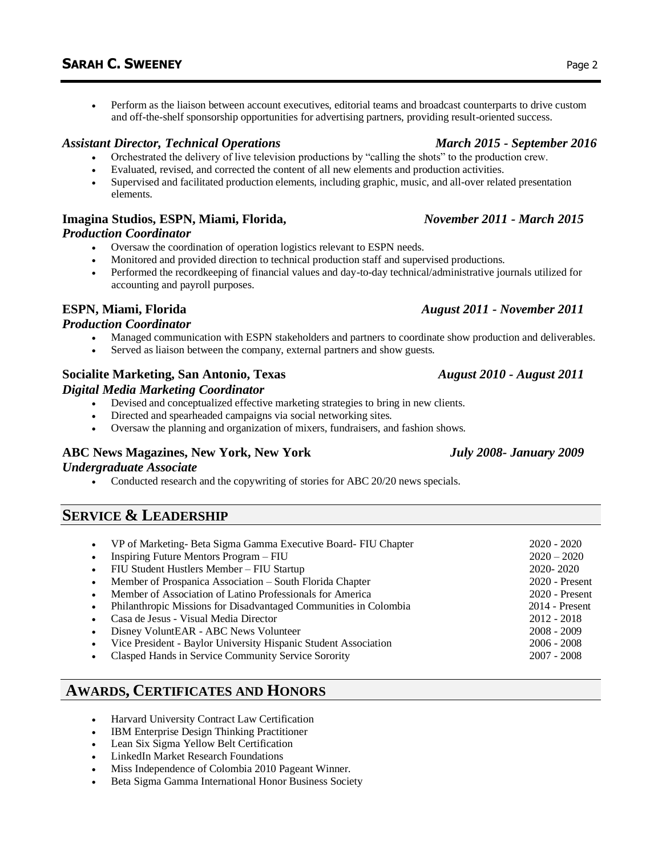• Perform as the liaison between account executives, editorial teams and broadcast counterparts to drive custom and off-the-shelf sponsorship opportunities for advertising partners, providing result-oriented success.

### *Assistant Director, Technical Operations March 2015 - September 2016*

- Orchestrated the delivery of live television productions by "calling the shots" to the production crew.
- Evaluated, revised, and corrected the content of all new elements and production activities.
- Supervised and facilitated production elements, including graphic, music, and all-over related presentation elements.

### **Imagina Studios, ESPN, Miami, Florida,** *November 2011 - March 2015*

#### *Production Coordinator*

- Oversaw the coordination of operation logistics relevant to ESPN needs.
- Monitored and provided direction to technical production staff and supervised productions.
- Performed the recordkeeping of financial values and day-to-day technical/administrative journals utilized for accounting and payroll purposes.

### **ESPN, Miami, Florida** *August 2011 - November 2011*

#### *Production Coordinator*

- Managed communication with ESPN stakeholders and partners to coordinate show production and deliverables.
- Served as liaison between the company, external partners and show guests.

#### **Socialite Marketing, San Antonio, Texas** *August 2010 - August 2011 Digital Media Marketing Coordinator*

- Devised and conceptualized effective marketing strategies to bring in new clients.
- Directed and spearheaded campaigns via social networking sites.
- Oversaw the planning and organization of mixers, fundraisers, and fashion shows.

### **ABC News Magazines, New York, New York** *July 2008- January 2009*

#### *Undergraduate Associate*

• Conducted research and the copywriting of stories for ABC 20/20 news specials.

## **SERVICE & LEADERSHIP**

• VP of Marketing- Beta Sigma Gamma Executive Board- FIU Chapter 2020 - 2020 • Inspiring Future Mentors Program – FIU 2020 – 2020 • FIU Student Hustlers Member – FIU Startup 2020- 2020 • Member of Prospanica Association – South Florida Chapter 2020 - Present • Member of Association of Latino Professionals for America 2020 - Present • Philanthropic Missions for Disadvantaged Communities in Colombia 2014 - Present • Casa de Jesus - Visual Media Director 2012 - 2018 • Disney VoluntEAR - ABC News Volunteer 2008 - 2009 • Vice President - Baylor University Hispanic Student Association 2006 - 2008 • Clasped Hands in Service Community Service Sorority 2007 - 2008

# **AWARDS, CERTIFICATES AND HONORS**

- Harvard University Contract Law Certification
- IBM Enterprise Design Thinking Practitioner
- Lean Six Sigma Yellow Belt Certification
- LinkedIn Market Research Foundations
- Miss Independence of Colombia 2010 Pageant Winner.
- Beta Sigma Gamma International Honor Business Society